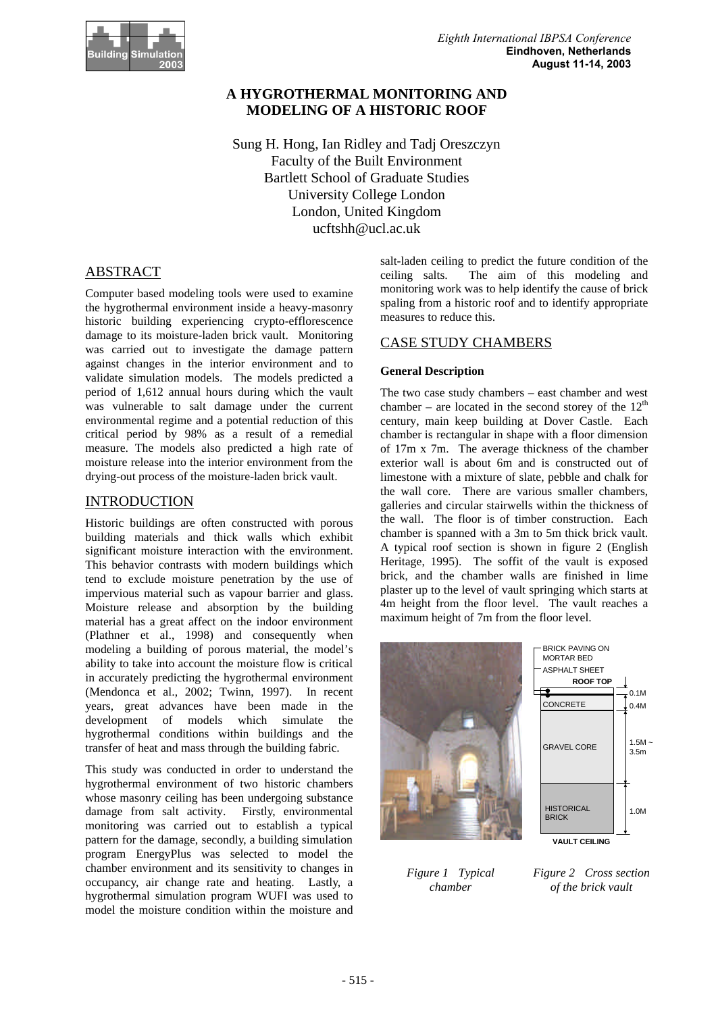

# **A HYGROTHERMAL MONITORING AND MODELING OF A HISTORIC ROOF**

Sung H. Hong, Ian Ridley and Tadj Oreszczyn Faculty of the Built Environment Bartlett School of Graduate Studies University College London London, United Kingdom ucftshh@ucl.ac.uk

# ABSTRACT

Computer based modeling tools were used to examine the hygrothermal environment inside a heavy-masonry historic building experiencing crypto-efflorescence damage to its moisture-laden brick vault. Monitoring was carried out to investigate the damage pattern against changes in the interior environment and to validate simulation models. The models predicted a period of 1,612 annual hours during which the vault was vulnerable to salt damage under the current environmental regime and a potential reduction of this critical period by 98% as a result of a remedial measure. The models also predicted a high rate of moisture release into the interior environment from the drying-out process of the moisture-laden brick vault.

# INTRODUCTION

Historic buildings are often constructed with porous building materials and thick walls which exhibit significant moisture interaction with the environment. This behavior contrasts with modern buildings which tend to exclude moisture penetration by the use of impervious material such as vapour barrier and glass. Moisture release and absorption by the building material has a great affect on the indoor environment (Plathner et al., 1998) and consequently when modeling a building of porous material, the model's ability to take into account the moisture flow is critical in accurately predicting the hygrothermal environment (Mendonca et al., 2002; Twinn, 1997). In recent years, great advances have been made in the development of models which simulate the hygrothermal conditions within buildings and the transfer of heat and mass through the building fabric.

This study was conducted in order to understand the hygrothermal environment of two historic chambers whose masonry ceiling has been undergoing substance damage from salt activity. Firstly, environmental monitoring was carried out to establish a typical pattern for the damage, secondly, a building simulation program EnergyPlus was selected to model the chamber environment and its sensitivity to changes in occupancy, air change rate and heating. Lastly, a hygrothermal simulation program WUFI was used to model the moisture condition within the moisture and

salt-laden ceiling to predict the future condition of the ceiling salts. The aim of this modeling and monitoring work was to help identify the cause of brick spaling from a historic roof and to identify appropriate measures to reduce this.

## CASE STUDY CHAMBERS

### **General Description**

The two case study chambers – east chamber and west chamber – are located in the second storey of the  $12<sup>th</sup>$ century, main keep building at Dover Castle. Each chamber is rectangular in shape with a floor dimension of 17m x 7m. The average thickness of the chamber exterior wall is about 6m and is constructed out of limestone with a mixture of slate, pebble and chalk for the wall core. There are various smaller chambers, galleries and circular stairwells within the thickness of the wall. The floor is of timber construction. Each chamber is spanned with a 3m to 5m thick brick vault. A typical roof section is shown in figure 2 (English Heritage, 1995). The soffit of the vault is exposed brick, and the chamber walls are finished in lime plaster up to the level of vault springing which starts at 4m height from the floor level. The vault reaches a maximum height of 7m from the floor level.



*Figure 1 Typical chamber*

*Figure 2 Cross section of the brick vault*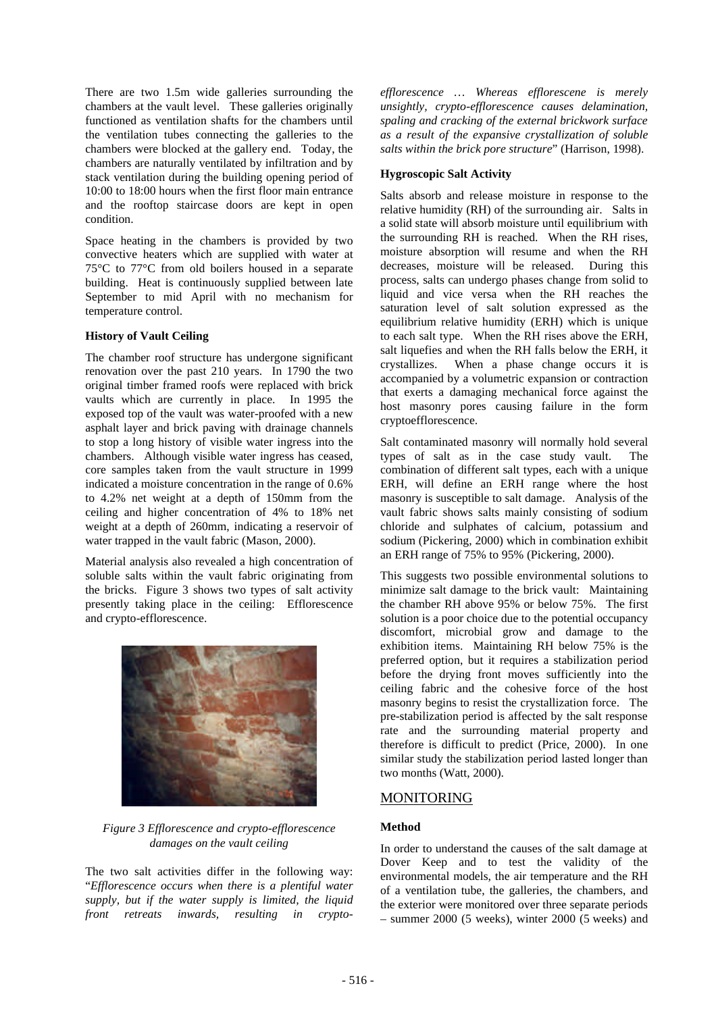There are two 1.5m wide galleries surrounding the chambers at the vault level. These galleries originally functioned as ventilation shafts for the chambers until the ventilation tubes connecting the galleries to the chambers were blocked at the gallery end. Today, the chambers are naturally ventilated by infiltration and by stack ventilation during the building opening period of 10:00 to 18:00 hours when the first floor main entrance and the rooftop staircase doors are kept in open condition.

Space heating in the chambers is provided by two convective heaters which are supplied with water at 75°C to 77°C from old boilers housed in a separate building. Heat is continuously supplied between late September to mid April with no mechanism for temperature control.

### **History of Vault Ceiling**

The chamber roof structure has undergone significant renovation over the past 210 years. In 1790 the two original timber framed roofs were replaced with brick vaults which are currently in place. In 1995 the exposed top of the vault was water-proofed with a new asphalt layer and brick paving with drainage channels to stop a long history of visible water ingress into the chambers. Although visible water ingress has ceased, core samples taken from the vault structure in 1999 indicated a moisture concentration in the range of 0.6% to 4.2% net weight at a depth of 150mm from the ceiling and higher concentration of 4% to 18% net weight at a depth of 260mm, indicating a reservoir of water trapped in the vault fabric (Mason, 2000).

Material analysis also revealed a high concentration of soluble salts within the vault fabric originating from the bricks. Figure 3 shows two types of salt activity presently taking place in the ceiling: Efflorescence and crypto-efflorescence.



*Figure 3 Efflorescence and crypto-efflorescence damages on the vault ceiling*

The two salt activities differ in the following way: "*Efflorescence occurs when there is a plentiful water supply, but if the water supply is limited, the liquid front retreats inwards, resulting in crypto-* *efflorescence … Whereas efflorescene is merely unsightly, crypto-efflorescence causes delamination, spaling and cracking of the external brickwork surface as a result of the expansive crystallization of soluble salts within the brick pore structure*" (Harrison, 1998).

### **Hygroscopic Salt Activity**

Salts absorb and release moisture in response to the relative humidity (RH) of the surrounding air. Salts in a solid state will absorb moisture until equilibrium with the surrounding RH is reached. When the RH rises, moisture absorption will resume and when the RH decreases, moisture will be released. During this process, salts can undergo phases change from solid to liquid and vice versa when the RH reaches the saturation level of salt solution expressed as the equilibrium relative humidity (ERH) which is unique to each salt type. When the RH rises above the ERH, salt liquefies and when the RH falls below the ERH, it crystallizes. When a phase change occurs it is accompanied by a volumetric expansion or contraction that exerts a damaging mechanical force against the host masonry pores causing failure in the form cryptoefflorescence.

Salt contaminated masonry will normally hold several types of salt as in the case study vault. combination of different salt types, each with a unique ERH, will define an ERH range where the host masonry is susceptible to salt damage. Analysis of the vault fabric shows salts mainly consisting of sodium chloride and sulphates of calcium, potassium and sodium (Pickering, 2000) which in combination exhibit an ERH range of 75% to 95% (Pickering, 2000).

This suggests two possible environmental solutions to minimize salt damage to the brick vault: Maintaining the chamber RH above 95% or below 75%. The first solution is a poor choice due to the potential occupancy discomfort, microbial grow and damage to the exhibition items. Maintaining RH below 75% is the preferred option, but it requires a stabilization period before the drying front moves sufficiently into the ceiling fabric and the cohesive force of the host masonry begins to resist the crystallization force. The pre-stabilization period is affected by the salt response rate and the surrounding material property and therefore is difficult to predict (Price, 2000). In one similar study the stabilization period lasted longer than two months (Watt, 2000).

## MONITORING

### **Method**

In order to understand the causes of the salt damage at Dover Keep and to test the validity of the environmental models, the air temperature and the RH of a ventilation tube, the galleries, the chambers, and the exterior were monitored over three separate periods – summer 2000 (5 weeks), winter 2000 (5 weeks) and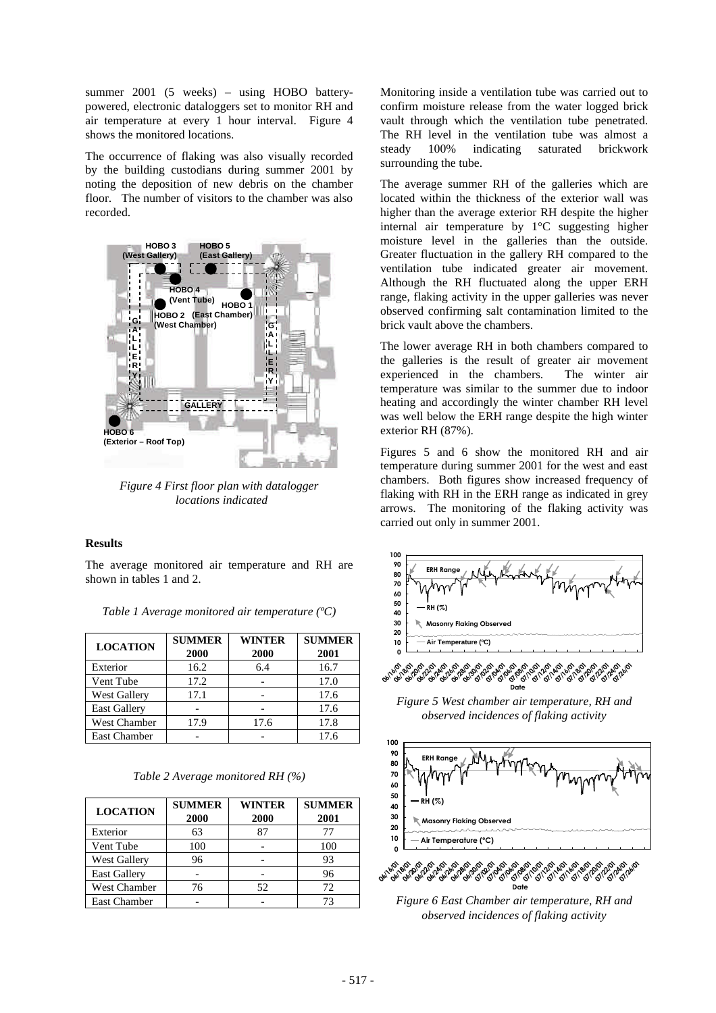summer 2001 (5 weeks) – using HOBO batterypowered, electronic dataloggers set to monitor RH and air temperature at every 1 hour interval. Figure 4 shows the monitored locations.

The occurrence of flaking was also visually recorded by the building custodians during summer 2001 by noting the deposition of new debris on the chamber floor. The number of visitors to the chamber was also recorded.



*Figure 4 First floor plan with datalogger locations indicated*

#### **Results**

The average monitored air temperature and RH are shown in tables 1 and 2.

| <b>LOCATION</b>     | <b>SUMMER</b><br>2000 | <b>WINTER</b><br>2000 | <b>SUMMER</b><br>2001 |
|---------------------|-----------------------|-----------------------|-----------------------|
| Exterior            | 16.2                  | 6.4                   | 16.7                  |
| Vent Tube           | 17.2                  |                       | 17.0                  |
| West Gallery        | 17.1                  |                       | 17.6                  |
| <b>East Gallery</b> |                       |                       | 17.6                  |
| <b>West Chamber</b> | 17.9                  | 17.6                  | 17.8                  |
| <b>East Chamber</b> |                       |                       | 17.6                  |

*Table 1 Average monitored air temperature (ºC)*

| <b>LOCATION</b>     | <b>SUMMER</b><br>2000 | <b>WINTER</b><br>2000 | <b>SUMMER</b><br>2001 |
|---------------------|-----------------------|-----------------------|-----------------------|
| Exterior            | 63                    | 87                    | 77                    |
| Vent Tube           | 100                   |                       | 100                   |
| <b>West Gallery</b> | 96                    |                       | 93                    |
| <b>East Gallery</b> |                       |                       | 96                    |
| <b>West Chamber</b> | 76                    | 52                    | 72                    |
| <b>East Chamber</b> |                       |                       | 73                    |

Monitoring inside a ventilation tube was carried out to confirm moisture release from the water logged brick vault through which the ventilation tube penetrated. The RH level in the ventilation tube was almost a steady 100% indicating saturated brickwork surrounding the tube.

The average summer RH of the galleries which are located within the thickness of the exterior wall was higher than the average exterior RH despite the higher internal air temperature by 1°C suggesting higher moisture level in the galleries than the outside. Greater fluctuation in the gallery RH compared to the ventilation tube indicated greater air movement. Although the RH fluctuated along the upper ERH range, flaking activity in the upper galleries was never observed confirming salt contamination limited to the brick vault above the chambers.

The lower average RH in both chambers compared to the galleries is the result of greater air movement experienced in the chambers. The winter air temperature was similar to the summer due to indoor heating and accordingly the winter chamber RH level was well below the ERH range despite the high winter exterior RH (87%).

Figures 5 and 6 show the monitored RH and air temperature during summer 2001 for the west and east chambers. Both figures show increased frequency of flaking with RH in the ERH range as indicated in grey arrows. The monitoring of the flaking activity was carried out only in summer 2001.



*Figure 5 West chamber air temperature, RH and observed incidences of flaking activity*



*Figure 6 East Chamber air temperature, RH and observed incidences of flaking activity*

**Date**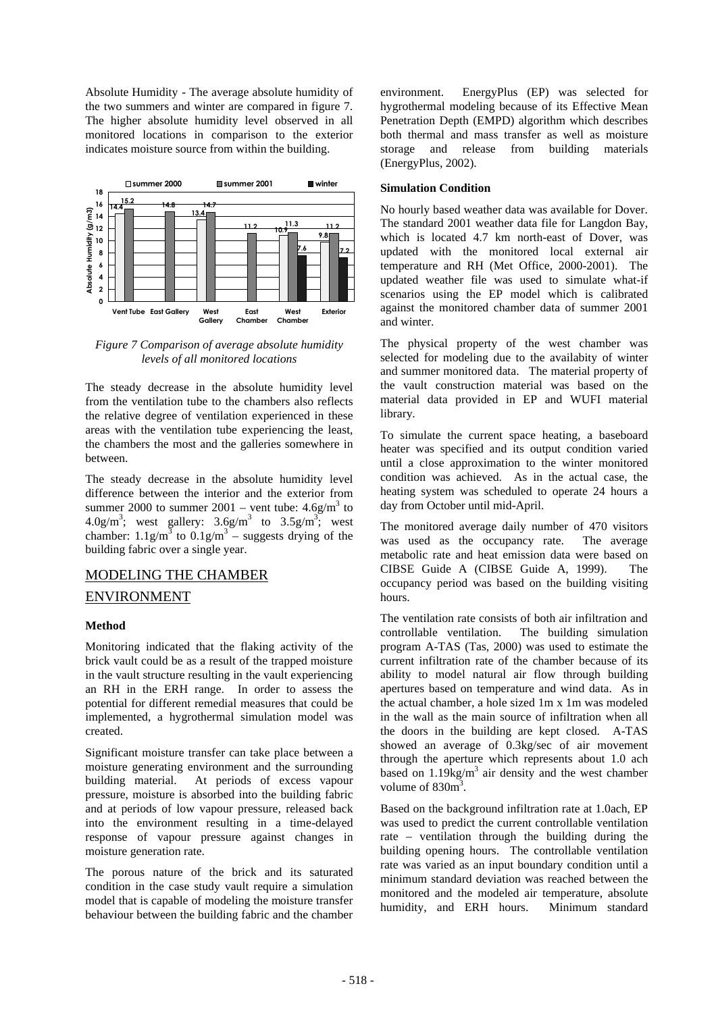Absolute Humidity - The average absolute humidity of the two summers and winter are compared in figure 7. The higher absolute humidity level observed in all monitored locations in comparison to the exterior indicates moisture source from within the building.



*Figure 7 Comparison of average absolute humidity levels of all monitored locations*

The steady decrease in the absolute humidity level from the ventilation tube to the chambers also reflects the relative degree of ventilation experienced in these areas with the ventilation tube experiencing the least, the chambers the most and the galleries somewhere in between.

The steady decrease in the absolute humidity level difference between the interior and the exterior from summer 2000 to summer  $2001$  – vent tube:  $4.6$ g/m<sup>3</sup> to  $4.0 \text{g/m}^3$ ; west gallery:  $3.6 \text{g/m}^3$  to  $3.5 \text{g/m}^3$ ; west chamber:  $1.1g/m^3$  to  $0.1g/m^3$  – suggests drying of the building fabric over a single year.

## MODELING THE CHAMBER

### ENVIRONMENT

### **Method**

Monitoring indicated that the flaking activity of the brick vault could be as a result of the trapped moisture in the vault structure resulting in the vault experiencing an RH in the ERH range. In order to assess the potential for different remedial measures that could be implemented, a hygrothermal simulation model was created.

Significant moisture transfer can take place between a moisture generating environment and the surrounding building material. At periods of excess vapour pressure, moisture is absorbed into the building fabric and at periods of low vapour pressure, released back into the environment resulting in a time-delayed response of vapour pressure against changes in moisture generation rate.

The porous nature of the brick and its saturated condition in the case study vault require a simulation model that is capable of modeling the moisture transfer behaviour between the building fabric and the chamber

environment. EnergyPlus (EP) was selected for hygrothermal modeling because of its Effective Mean Penetration Depth (EMPD) algorithm which describes both thermal and mass transfer as well as moisture storage and release from building materials (EnergyPlus, 2002).

#### **Simulation Condition**

No hourly based weather data was available for Dover. The standard 2001 weather data file for Langdon Bay, which is located 4.7 km north-east of Dover, was updated with the monitored local external air temperature and RH (Met Office, 2000-2001). The updated weather file was used to simulate what-if scenarios using the EP model which is calibrated against the monitored chamber data of summer 2001 and winter.

The physical property of the west chamber was selected for modeling due to the availabity of winter and summer monitored data. The material property of the vault construction material was based on the material data provided in EP and WUFI material library.

To simulate the current space heating, a baseboard heater was specified and its output condition varied until a close approximation to the winter monitored condition was achieved. As in the actual case, the heating system was scheduled to operate 24 hours a day from October until mid-April.

The monitored average daily number of 470 visitors was used as the occupancy rate. The average metabolic rate and heat emission data were based on CIBSE Guide A (CIBSE Guide A, 1999). The occupancy period was based on the building visiting hours.

The ventilation rate consists of both air infiltration and controllable ventilation. The building simulation program A-TAS (Tas, 2000) was used to estimate the current infiltration rate of the chamber because of its ability to model natural air flow through building apertures based on temperature and wind data. As in the actual chamber, a hole sized 1m x 1m was modeled in the wall as the main source of infiltration when all the doors in the building are kept closed. A-TAS showed an average of 0.3kg/sec of air movement through the aperture which represents about 1.0 ach based on  $1.19$ kg/m<sup>3</sup> air density and the west chamber volume of  $830<sup>3</sup>$ .

Based on the background infiltration rate at 1.0ach, EP was used to predict the current controllable ventilation rate – ventilation through the building during the building opening hours. The controllable ventilation rate was varied as an input boundary condition until a minimum standard deviation was reached between the monitored and the modeled air temperature, absolute humidity, and ERH hours. Minimum standard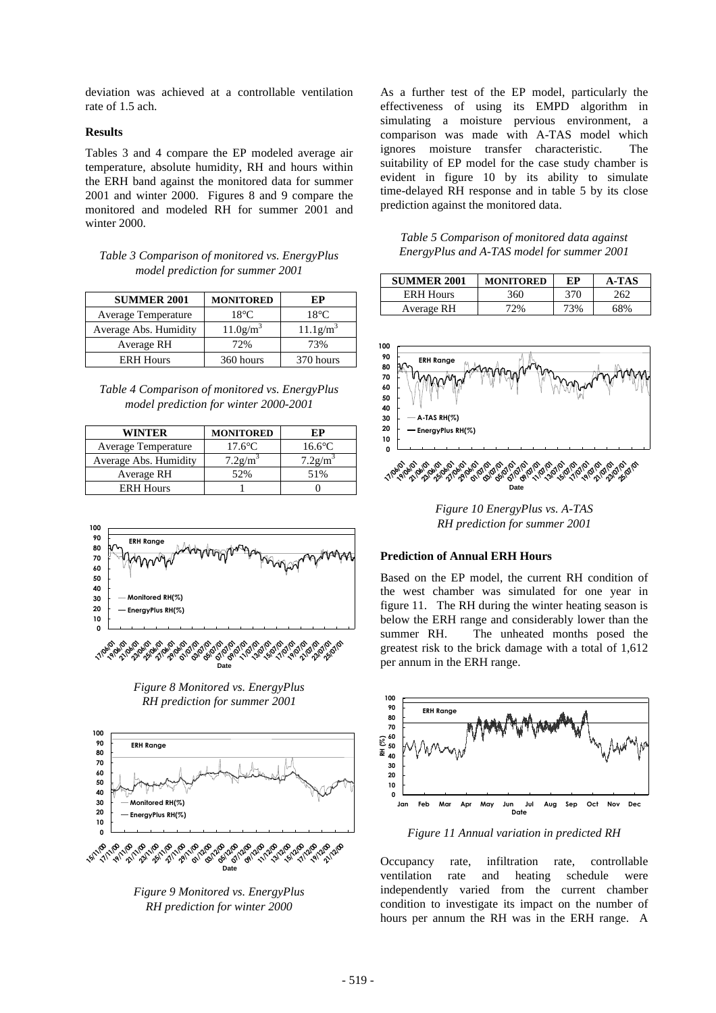deviation was achieved at a controllable ventilation rate of 1.5 ach.

### **Results**

Tables 3 and 4 compare the EP modeled average air temperature, absolute humidity, RH and hours within the ERH band against the monitored data for summer 2001 and winter 2000. Figures 8 and 9 compare the monitored and modeled RH for summer 2001 and winter 2000.

*Table 3 Comparison of monitored vs. EnergyPlus model prediction for summer 2001*

| <b>SUMMER 2001</b>    | <b>MONITORED</b>        | EP                      |
|-----------------------|-------------------------|-------------------------|
| Average Temperature   | $18^{\circ}$ C          | $18^{\circ}$ C          |
| Average Abs. Humidity | $11.0$ g/m <sup>3</sup> | $11.1$ g/m <sup>3</sup> |
| Average RH            | 72%                     | 73%                     |
| <b>ERH</b> Hours      | 360 hours               | 370 hours               |

*Table 4 Comparison of monitored vs. EnergyPlus model prediction for winter 2000-2001*

| WINTER                | <b>MONITORED</b>       | ЕР                     |
|-----------------------|------------------------|------------------------|
| Average Temperature   | $17.6^{\circ}$ C       | $16.6^{\circ}$ C       |
| Average Abs. Humidity | $7.2$ g/m <sup>3</sup> | $7.2$ g/m <sup>3</sup> |
| Average RH            | 52%                    | 51%                    |
| <b>ERH Hours</b>      |                        |                        |



*Figure 8 Monitored vs. EnergyPlus RH prediction for summer 2001*



*Figure 9 Monitored vs. EnergyPlus RH prediction for winter 2000*

As a further test of the EP model, particularly the effectiveness of using its EMPD algorithm in simulating a moisture pervious environment, a comparison was made with A-TAS model which ignores moisture transfer characteristic. The suitability of EP model for the case study chamber is evident in figure 10 by its ability to simulate time-delayed RH response and in table 5 by its close prediction against the monitored data.

| Table 5 Comparison of monitored data against |
|----------------------------------------------|
| EnergyPlus and A-TAS model for summer 2001   |

| <b>SUMMER 2001</b> | <b>MONITORED</b> | ЕP  | A-TAS |
|--------------------|------------------|-----|-------|
| <b>ERH Hours</b>   | 360              | 370 | 262   |
| Average RH         | 72%              | 73% | 68%   |



*Figure 10 EnergyPlus vs. A-TAS RH prediction for summer 2001*

#### **Prediction of Annual ERH Hours**

Based on the EP model, the current RH condition of the west chamber was simulated for one year in figure 11. The RH during the winter heating season is below the ERH range and considerably lower than the summer RH. The unheated months posed the greatest risk to the brick damage with a total of 1,612 per annum in the ERH range.



*Figure 11 Annual variation in predicted RH*

Occupancy rate, infiltration rate, controllable ventilation rate and heating schedule were independently varied from the current chamber condition to investigate its impact on the number of hours per annum the RH was in the ERH range. A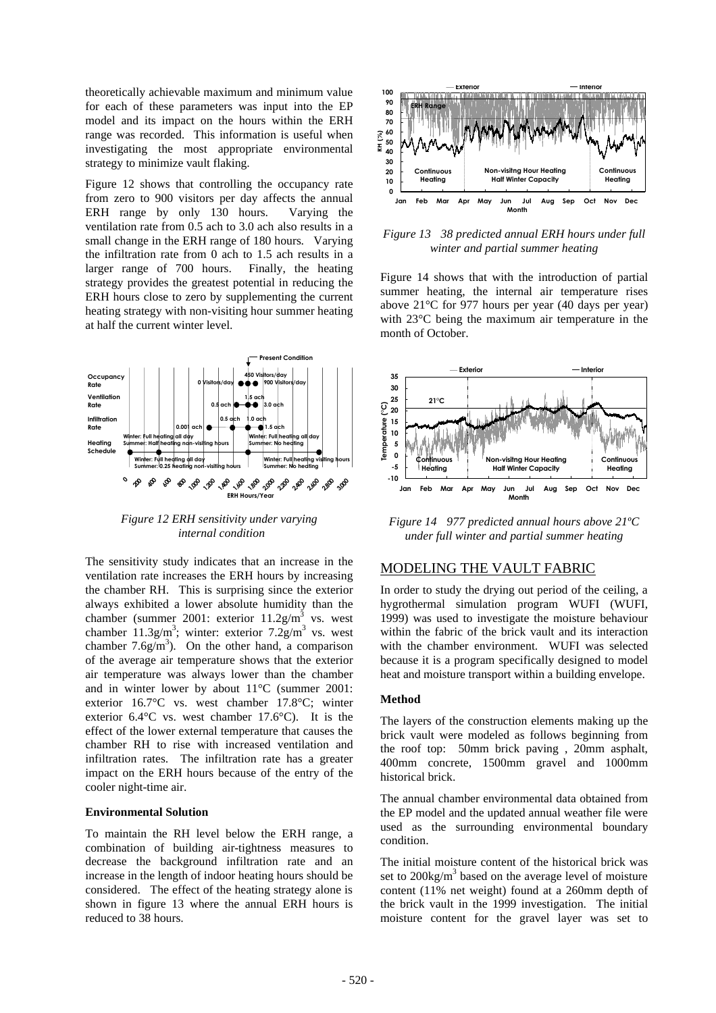theoretically achievable maximum and minimum value for each of these parameters was input into the EP model and its impact on the hours within the ERH range was recorded. This information is useful when investigating the most appropriate environmental strategy to minimize vault flaking.

Figure 12 shows that controlling the occupancy rate from zero to 900 visitors per day affects the annual ERH range by only 130 hours. Varying the ventilation rate from 0.5 ach to 3.0 ach also results in a small change in the ERH range of 180 hours. Varying the infiltration rate from 0 ach to 1.5 ach results in a larger range of 700 hours. Finally, the heating strategy provides the greatest potential in reducing the ERH hours close to zero by supplementing the current heating strategy with non-visiting hour summer heating at half the current winter level.



*Figure 12 ERH sensitivity under varying internal condition*

The sensitivity study indicates that an increase in the ventilation rate increases the ERH hours by increasing the chamber RH. This is surprising since the exterior always exhibited a lower absolute humidity than the chamber (summer 2001: exterior  $11.2$ g/m<sup>3</sup> vs. west chamber  $11.3g/m^3$ ; winter: exterior  $7.2g/m^3$  vs. west chamber  $7.6g/m<sup>3</sup>$ ). On the other hand, a comparison of the average air temperature shows that the exterior air temperature was always lower than the chamber and in winter lower by about 11°C (summer 2001: exterior 16.7°C vs. west chamber 17.8°C; winter exterior 6.4°C vs. west chamber 17.6°C). It is the effect of the lower external temperature that causes the chamber RH to rise with increased ventilation and infiltration rates. The infiltration rate has a greater impact on the ERH hours because of the entry of the cooler night-time air.

#### **Environmental Solution**

To maintain the RH level below the ERH range, a combination of building air-tightness measures to decrease the background infiltration rate and an increase in the length of indoor heating hours should be considered. The effect of the heating strategy alone is shown in figure 13 where the annual ERH hours is reduced to 38 hours.



*Figure 13 38 predicted annual ERH hours under full winter and partial summer heating*

Figure 14 shows that with the introduction of partial summer heating, the internal air temperature rises above 21°C for 977 hours per year (40 days per year) with 23°C being the maximum air temperature in the month of October.



*Figure 14 977 predicted annual hours above 21ºC under full winter and partial summer heating*

### MODELING THE VAULT FABRIC

In order to study the drying out period of the ceiling, a hygrothermal simulation program WUFI (WUFI, 1999) was used to investigate the moisture behaviour within the fabric of the brick vault and its interaction with the chamber environment. WUFI was selected because it is a program specifically designed to model heat and moisture transport within a building envelope.

#### **Method**

The layers of the construction elements making up the brick vault were modeled as follows beginning from the roof top: 50mm brick paving , 20mm asphalt, 400mm concrete, 1500mm gravel and 1000mm historical brick.

The annual chamber environmental data obtained from the EP model and the updated annual weather file were used as the surrounding environmental boundary condition.

The initial moisture content of the historical brick was set to  $200\text{kg/m}^3$  based on the average level of moisture content (11% net weight) found at a 260mm depth of the brick vault in the 1999 investigation. The initial moisture content for the gravel layer was set to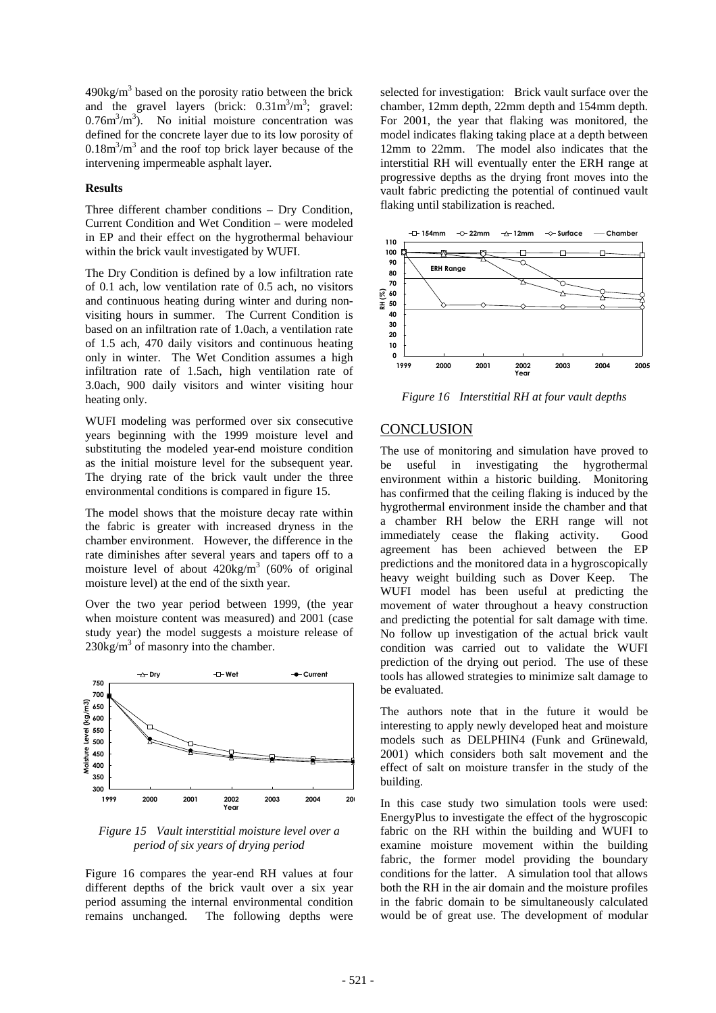$490\text{kg/m}^3$  based on the porosity ratio between the brick and the gravel layers (brick:  $0.31 \text{m}^3/\text{m}^3$ ; gravel:  $0.76m<sup>3</sup>/m<sup>3</sup>$ ). No initial moisture concentration was defined for the concrete layer due to its low porosity of  $0.18 \text{m}^3/\text{m}^3$  and the roof top brick layer because of the intervening impermeable asphalt layer.

### **Results**

Three different chamber conditions – Dry Condition, Current Condition and Wet Condition – were modeled in EP and their effect on the hygrothermal behaviour within the brick vault investigated by WUFI.

The Dry Condition is defined by a low infiltration rate of 0.1 ach, low ventilation rate of 0.5 ach, no visitors and continuous heating during winter and during nonvisiting hours in summer. The Current Condition is based on an infiltration rate of 1.0ach, a ventilation rate of 1.5 ach, 470 daily visitors and continuous heating only in winter. The Wet Condition assumes a high infiltration rate of 1.5ach, high ventilation rate of 3.0ach, 900 daily visitors and winter visiting hour heating only.

WUFI modeling was performed over six consecutive years beginning with the 1999 moisture level and substituting the modeled year-end moisture condition as the initial moisture level for the subsequent year. The drying rate of the brick vault under the three environmental conditions is compared in figure 15.

The model shows that the moisture decay rate within the fabric is greater with increased dryness in the chamber environment. However, the difference in the rate diminishes after several years and tapers off to a moisture level of about  $420 \text{kg/m}^3$  (60% of original moisture level) at the end of the sixth year.

Over the two year period between 1999, (the year when moisture content was measured) and 2001 (case study year) the model suggests a moisture release of  $230\text{kg/m}^3$  of masonry into the chamber.



*Figure 15 Vault interstitial moisture level over a period of six years of drying period*

Figure 16 compares the year-end RH values at four different depths of the brick vault over a six year period assuming the internal environmental condition remains unchanged. The following depths were

selected for investigation: Brick vault surface over the chamber, 12mm depth, 22mm depth and 154mm depth. For 2001, the year that flaking was monitored, the model indicates flaking taking place at a depth between 12mm to 22mm. The model also indicates that the interstitial RH will eventually enter the ERH range at progressive depths as the drying front moves into the vault fabric predicting the potential of continued vault flaking until stabilization is reached.



*Figure 16 Interstitial RH at four vault depths*

# **CONCLUSION**

The use of monitoring and simulation have proved to be useful in investigating the hygrothermal environment within a historic building. Monitoring has confirmed that the ceiling flaking is induced by the hygrothermal environment inside the chamber and that a chamber RH below the ERH range will not immediately cease the flaking activity. Good agreement has been achieved between the EP predictions and the monitored data in a hygroscopically heavy weight building such as Dover Keep. The WUFI model has been useful at predicting the movement of water throughout a heavy construction and predicting the potential for salt damage with time. No follow up investigation of the actual brick vault condition was carried out to validate the WUFI prediction of the drying out period. The use of these tools has allowed strategies to minimize salt damage to be evaluated.

The authors note that in the future it would be interesting to apply newly developed heat and moisture models such as DELPHIN4 (Funk and Grünewald, 2001) which considers both salt movement and the effect of salt on moisture transfer in the study of the building.

In this case study two simulation tools were used: EnergyPlus to investigate the effect of the hygroscopic fabric on the RH within the building and WUFI to examine moisture movement within the building fabric, the former model providing the boundary conditions for the latter. A simulation tool that allows both the RH in the air domain and the moisture profiles in the fabric domain to be simultaneously calculated would be of great use. The development of modular